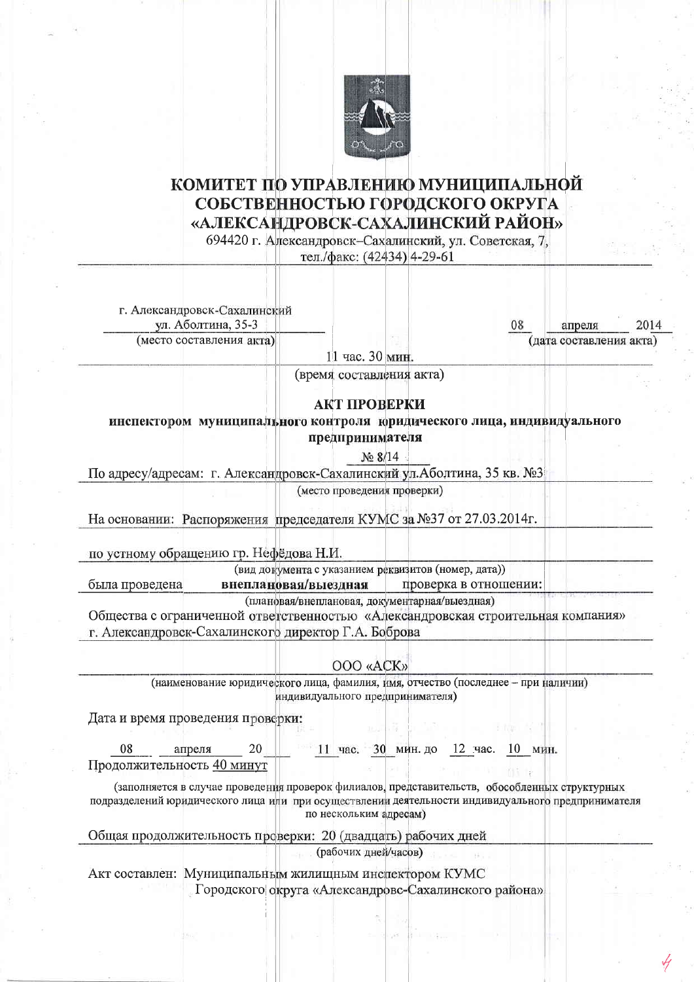

## КОМИТЕТ ПО УПРАВЛЕНИЮ МУНИЦИПАЛЬНОЙ СОБСТВЕННОСТЬЮ ГОРОДСКОГО ОКРУГА «АЛЕКСАНДРОВСК-САХАЛИНСКИЙ РАЙОН»

694420 г. Александровск-Сахалинский, ул. Советская, 7.

тел./факс: (42434) 4-29-61

г. Александровск-Сахалинский ул. Аболтина, 35-3

(место составления акта)

апреля (дата составления акта)

11 час. 30 мин.

(время составления акта)

## АКТ ПРОВЕРКИ

инспектором муниципального контроля юридического лица, индивидуального предпринимателя

No 8/14

По адресу/адресам: г. Александровск-Сахалинский ул. Аболтина, 35 кв. №3

(место проведения проверки)

На основании: Распоряжения председателя КУМС за №37 от 27.03.2014г.

по устному обращению гр. Нефёдова Н.И.

(вид документа с указанием реквизитов (номер, дата)) была проведена

внеплановая/выездная проверка в отношении:

(плановая/внеплановая, документарная/выездная)

Общества с ограниченной ответственностью «Александровская строительная компания» г. Александровск-Сахалинского директор Г.А. Боброва

OOO «ACK»

(наименование юридического лица, фамилия, имя, отчество (последнее - при наличии) индивидуального предпринимателя)

Дата и время проведения проверки:

|                            | апреля |  | час. | 30<br>мин. до | час.<br>TZ. | мин.<br>нυ |
|----------------------------|--------|--|------|---------------|-------------|------------|
| Пролоджительность 40 минут |        |  |      |               |             |            |

(заполняется в случае проведения проверок филиалов, представительств, обособленных структурных подразделений юридического лица или при осуществлении деятельности индивидуального предпринимателя по нескольким адресам)

Общая продолжительность проверки: 20 (двадцать) рабочих дней

(рабочих дней/часов)

Акт составлен: Муниципальным жилищным инспектором КУМС Городского округа «Александровс-Сахалинского района»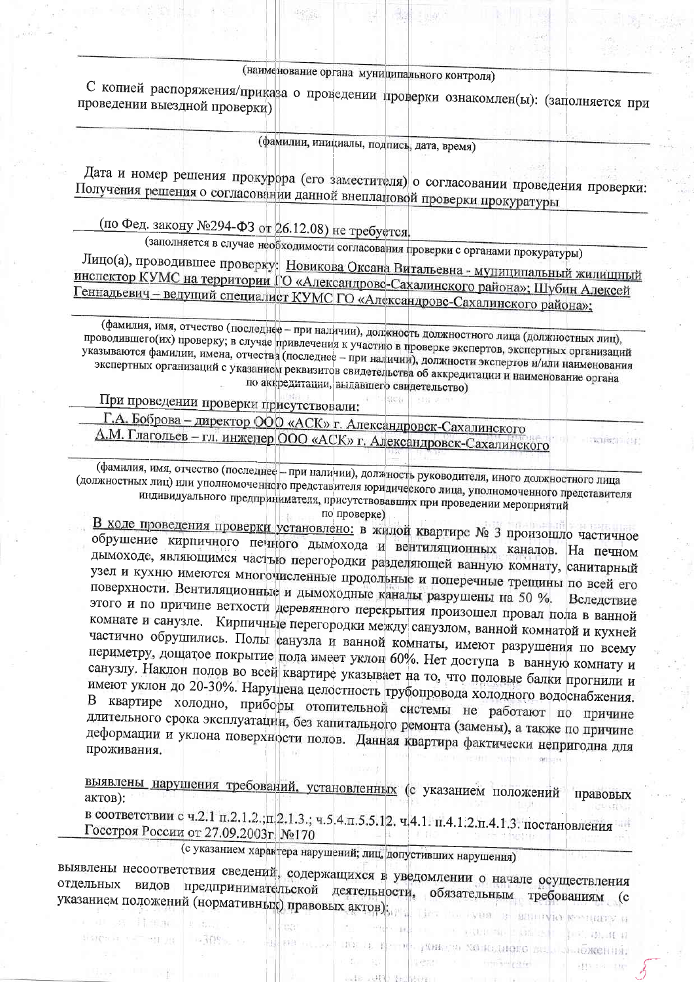(наименование органа муниципального контроля)

С копией распоряжения/приказа о проведении проверки ознакомлен(ы): (заполняется при проведении выездной проверки)

(фамилии, инициалы, подпись, дата, время)

Дата и номер решения прокурора (его заместителя) о согласовании проведения проверки: Получения решения о согласовании данной внеплановой проверки прокуратуры

(по Фед. закону №294-ФЗ от 26.12.08) не требуется.

(заполняется в случае необходимости согласования проверки с органами прокуратуры)

Лицо(а), проводившее проверку: Новикова Оксана Витальевна - муниципальный жилищный инспектор КУМС на территории ГО «Александровс-Сахалинского района»; Шубин Алексей Геннадьевич - ведущий специалист КУМС ГО «Александровс-Сахалинского района»;

(фамилия, имя, отчество (последнее - при наличии), должность должностного лица (должностных лиц), проводившего(их) проверку; в случае привлечения к участию в проверке экспертов, экспертных организаций указываются фамилии, имена, отчества (последнее - при наличии), должности экспертов и/или наименования экспертных организаций с указанием реквизитов свидетельства об аккредитации и наименование органа по аккредитации, выдавшего свидетельство)

При проведении проверки присутствовали:

9. 97

· 中国的 · ··

Fargacia e l'agring

Г.А. Боброва - директор ООО «АСК» г. Александровск-Сахалинского

А.М. Глагольев - гл. инженер ООО «АСК» г. Александровск-Сахалинского

(фамилия, имя, отчество (последнее - при наличии), должность руководителя, иного должностного лица (должностных лиц) или уполномоченного представителя юридического лица, уполномоченного представителя индивидуального предпринимателя, присутствовавших при проведении мероприятий

wines out

107.10.10.11

- - пожении.

по проверке)

В ходе проведения проверки установлено: в жилой квартире № 3 произошло частичное обрушение кирпичного печного дымохода и вентиляционных каналов. На печном дымоходе, являющимся частью перегородки разделяющей ванную комнату, санитарный узел и кухню имеются многочисленные продольные и поперечные трещины по всей его поверхности. Вентиляционные и дымоходные каналы разрушены на 50 %. Вследствие этого и по причине ветхости деревянного перекрытия произошел провал пола в ванной комнате и санузле. Кирпичные перегородки между санузлом, ванной комнатой и кухней частично обрушились. Полы санузла и ванной комнаты, имеют разрушения по всему периметру, дощатое покрытие пола имеет уклон 60%. Нет доступа в ванную комнату и санузлу. Наклон полов во всей квартире указывает на то, что половые балки прогнили и имеют уклон до 20-30%. Нарушена целостность грубопровода холодного водоснабжения. В квартире холодно, приборы отопительной системы не работают по причине длительного срока эксплуатации, без капитального ремонта (замены), а также по причине деформации и уклона поверхности полов. Данная квартира фактически непригодна для проживания.

выявлены нарушения требований, установленных (с указанием положений правовых актов):

в соответствии с ч.2.1 п.2.1.2.;п.2.1.3.; ч.5.4.п.5.5.12. ч.4.1. п.4.1.2.п.4.1.3. постановления Госстроя России от 27.09.2003г. №170

(с указанием характера нарушений; лиц, допустивших нарушения)

выявлены несоответствия сведений, содержащихся в уведомлении о начале осуществления отдельных видов предпринимательской деятельности, обязательным требованиям (с указанием положений (нормативных) правовых актов):

 $H^2$  1.

INE LE FETOR PORC'S NO KEINDED BU.

**STERN PISCO** 

He Mit or seem